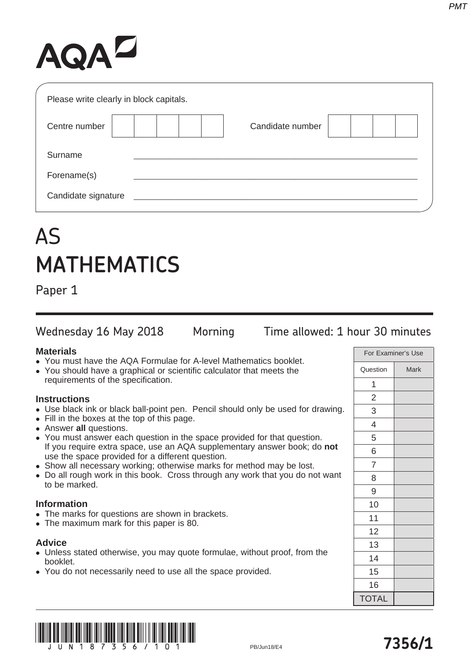# AQAZ

| Please write clearly in block capitals. |                  |
|-----------------------------------------|------------------|
| Centre number                           | Candidate number |
| Surname                                 |                  |
| Forename(s)                             |                  |
| Candidate signature                     |                  |

# AS **MATHEMATICS**

Paper 1

Wednesday 16 May 2018 Morning Time allowed: 1 hour 30 minutes

## **Materials**

- You must have the AQA Formulae for A-level Mathematics booklet.
- You should have a graphical or scientific calculator that meets the requirements of the specification.

# **Instructions**

- Use black ink or black ball-point pen. Pencil should only be used for drawing.
- Fill in the boxes at the top of this page.
- **Answer all questions.**
- You must answer each question in the space provided for that question. If you require extra space, use an AQA supplementary answer book; do **not** use the space provided for a different question.
- Show all necessary working; otherwise marks for method may be lost.
- Do all rough work in this book. Cross through any work that you do not want to be marked.

## **Information**

- The marks for questions are shown in brackets.
- The maximum mark for this paper is 80.

## **Advice**

- Unless stated otherwise, you may quote formulae, without proof, from the booklet.
- You do not necessarily need to use all the space provided.

| For Examiner's Use |             |  |
|--------------------|-------------|--|
| Question           | <b>Mark</b> |  |
| 1                  |             |  |
| $\overline{2}$     |             |  |
| 3                  |             |  |
| 4                  |             |  |
| 5                  |             |  |
| 6                  |             |  |
| 7                  |             |  |
| 8                  |             |  |
| 9                  |             |  |
| 10                 |             |  |
| 11                 |             |  |
| 12                 |             |  |
| 13                 |             |  |
| 14                 |             |  |
| 15                 |             |  |
| 16                 |             |  |
| <b>TOTAL</b>       |             |  |



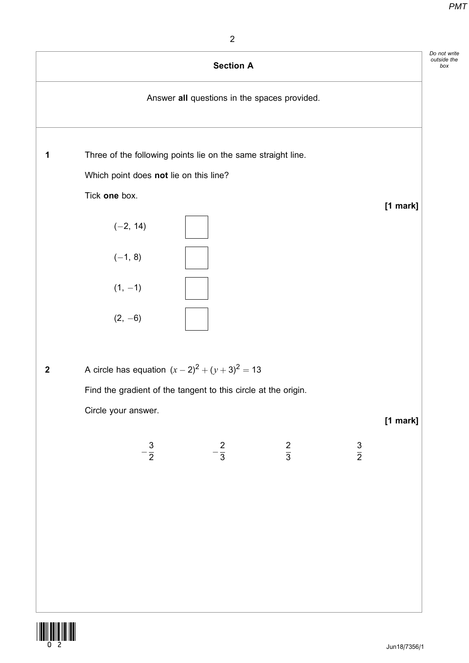box



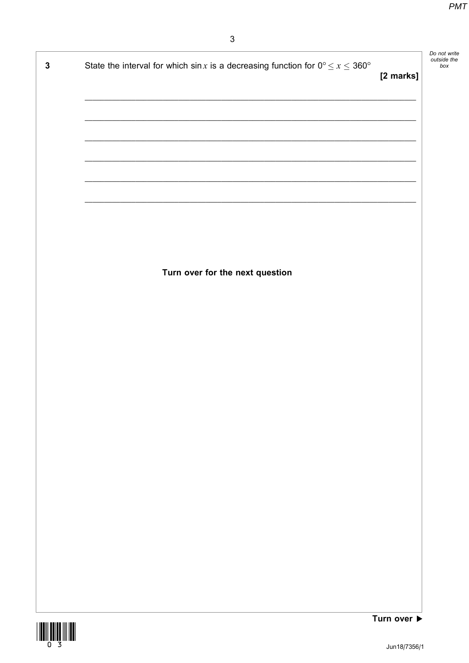| $\mathbf 3$ | State the interval for which sin x is a decreasing function for $0^{\circ} \le x \le 360^{\circ}$ | [2 marks]   | Do not write<br>outside the<br>box |
|-------------|---------------------------------------------------------------------------------------------------|-------------|------------------------------------|
|             |                                                                                                   |             |                                    |
|             |                                                                                                   |             |                                    |
|             |                                                                                                   |             |                                    |
|             |                                                                                                   |             |                                    |
|             |                                                                                                   |             |                                    |
|             |                                                                                                   |             |                                    |
|             |                                                                                                   |             |                                    |
|             |                                                                                                   |             |                                    |
|             | Turn over for the next question                                                                   |             |                                    |
|             |                                                                                                   |             |                                    |
|             |                                                                                                   |             |                                    |
|             |                                                                                                   |             |                                    |
|             |                                                                                                   |             |                                    |
|             |                                                                                                   |             |                                    |
|             |                                                                                                   |             |                                    |
|             |                                                                                                   |             |                                    |
|             |                                                                                                   |             |                                    |
|             |                                                                                                   |             |                                    |
|             |                                                                                                   |             |                                    |
|             |                                                                                                   |             |                                    |
|             |                                                                                                   |             |                                    |
|             |                                                                                                   |             |                                    |
|             |                                                                                                   |             |                                    |
|             |                                                                                                   |             |                                    |
|             |                                                                                                   | Turn over ▶ |                                    |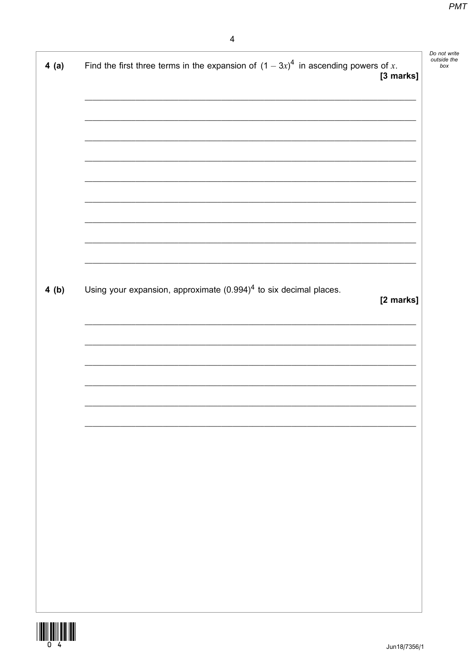| 4(a) | Find the first three terms in the expansion of $(1-3x)^4$ in ascending powers of x.<br>[3 marks] |
|------|--------------------------------------------------------------------------------------------------|
|      |                                                                                                  |
|      |                                                                                                  |
|      |                                                                                                  |
|      |                                                                                                  |
|      |                                                                                                  |
|      |                                                                                                  |
|      |                                                                                                  |
|      |                                                                                                  |
|      |                                                                                                  |
|      |                                                                                                  |
|      |                                                                                                  |
| 4(b) | Using your expansion, approximate $(0.994)^4$ to six decimal places.                             |
|      | [2 marks]                                                                                        |
|      |                                                                                                  |
|      |                                                                                                  |
|      |                                                                                                  |
|      |                                                                                                  |
|      |                                                                                                  |
|      |                                                                                                  |
|      |                                                                                                  |
|      |                                                                                                  |
|      |                                                                                                  |
|      |                                                                                                  |
|      |                                                                                                  |
|      |                                                                                                  |
|      |                                                                                                  |
|      |                                                                                                  |
|      |                                                                                                  |
|      |                                                                                                  |
|      |                                                                                                  |

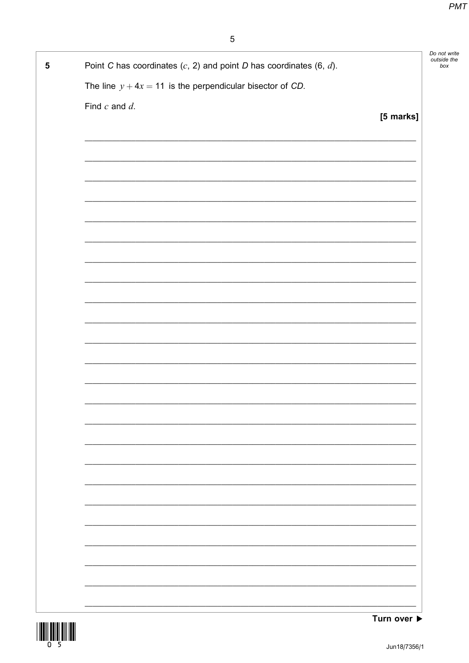| 5 | Point C has coordinates $(c, 2)$ and point D has coordinates $(6, d)$ . |           | Do not write<br>outside the<br>box |
|---|-------------------------------------------------------------------------|-----------|------------------------------------|
|   | The line $y + 4x = 11$ is the perpendicular bisector of CD.             |           |                                    |
|   | Find $c$ and $d$ .                                                      |           |                                    |
|   |                                                                         | [5 marks] |                                    |
|   |                                                                         |           |                                    |
|   |                                                                         |           |                                    |
|   |                                                                         |           |                                    |
|   |                                                                         |           |                                    |
|   |                                                                         |           |                                    |
|   |                                                                         |           |                                    |
|   |                                                                         |           |                                    |
|   |                                                                         |           |                                    |
|   |                                                                         |           |                                    |
|   |                                                                         |           |                                    |
|   |                                                                         |           |                                    |
|   |                                                                         |           |                                    |
|   |                                                                         |           |                                    |
|   |                                                                         |           |                                    |
|   |                                                                         |           |                                    |
|   |                                                                         |           |                                    |
|   |                                                                         |           |                                    |
|   |                                                                         |           |                                    |
|   |                                                                         |           |                                    |
|   |                                                                         |           |                                    |
|   |                                                                         |           |                                    |
|   |                                                                         |           |                                    |
|   |                                                                         |           |                                    |
|   |                                                                         |           |                                    |

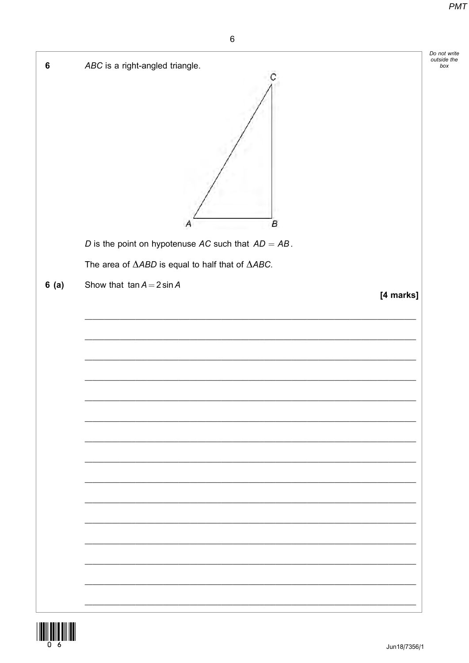$box$ 



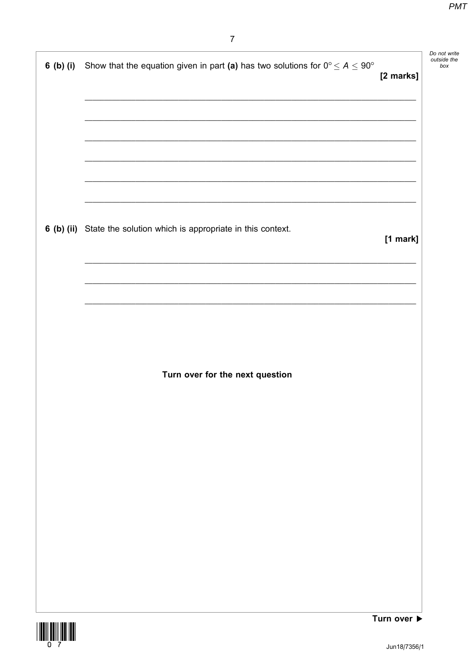| 6 (b) (i) | Show that the equation given in part (a) has two solutions for $0^{\circ} \le A \le 90^{\circ}$ | [2 marks] | Do not write<br>outside the<br>box |
|-----------|-------------------------------------------------------------------------------------------------|-----------|------------------------------------|
|           |                                                                                                 |           |                                    |
|           |                                                                                                 |           |                                    |
|           | 6 (b) (ii) State the solution which is appropriate in this context.                             | [1 mark]  |                                    |
|           |                                                                                                 |           |                                    |
|           |                                                                                                 |           |                                    |
|           | Turn over for the next question                                                                 |           |                                    |
|           |                                                                                                 |           |                                    |
|           |                                                                                                 |           |                                    |
|           |                                                                                                 |           |                                    |
|           |                                                                                                 |           |                                    |

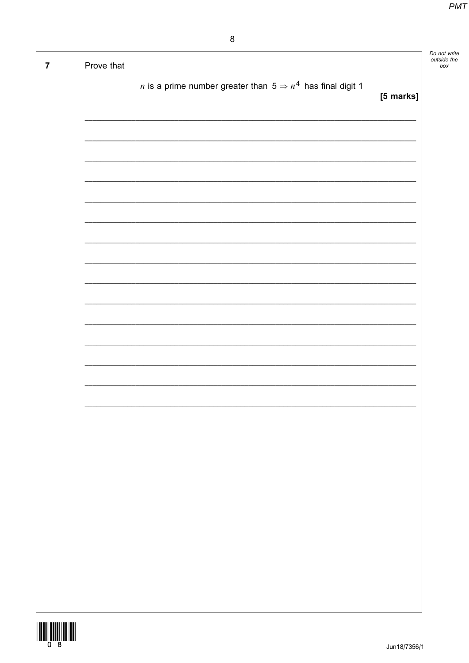| $\overline{7}$ | Prove that |                                                                               |           | Do not write<br>outside the<br>box |
|----------------|------------|-------------------------------------------------------------------------------|-----------|------------------------------------|
|                |            | <i>n</i> is a prime number greater than $5 \Rightarrow n^4$ has final digit 1 |           |                                    |
|                |            |                                                                               | [5 marks] |                                    |
|                |            |                                                                               |           |                                    |
|                |            |                                                                               |           |                                    |
|                |            |                                                                               |           |                                    |
|                |            |                                                                               |           |                                    |
|                |            |                                                                               |           |                                    |
|                |            |                                                                               |           |                                    |
|                |            |                                                                               |           |                                    |
|                |            |                                                                               |           |                                    |
|                |            |                                                                               |           |                                    |
|                |            |                                                                               |           |                                    |
|                |            |                                                                               |           |                                    |
|                |            |                                                                               |           |                                    |
|                |            |                                                                               |           |                                    |
|                |            |                                                                               |           |                                    |
|                |            |                                                                               |           |                                    |
|                |            |                                                                               |           |                                    |
|                |            |                                                                               |           |                                    |
|                |            |                                                                               |           |                                    |
|                |            |                                                                               |           |                                    |
|                |            |                                                                               |           |                                    |
|                |            |                                                                               |           |                                    |
|                |            |                                                                               |           |                                    |
|                |            |                                                                               |           |                                    |

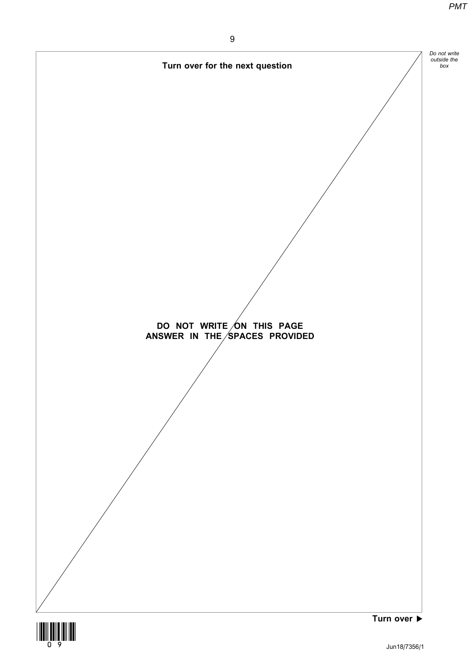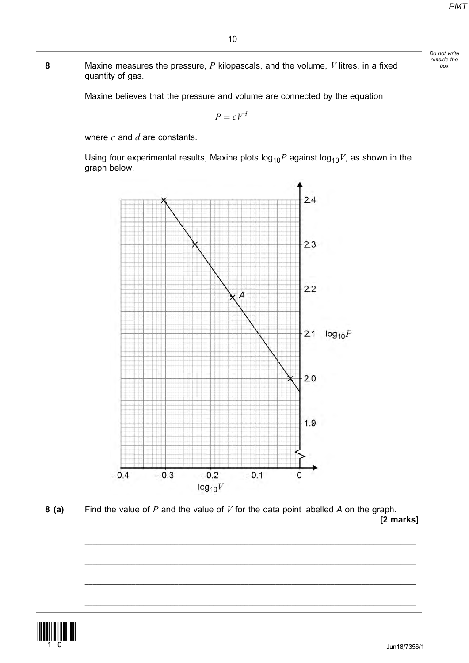Do not write outside the box

8 Maxine measures the pressure,  $P$  kilopascals, and the volume,  $V$  litres, in a fixed quantity of gas.

Maxine believes that the pressure and volume are connected by the equation

 $P = cV^d$ 

where  $c$  and  $d$  are constants.

Using four experimental results, Maxine plots  $log_{10}P$  against  $log_{10}V$ , as shown in the graph below.



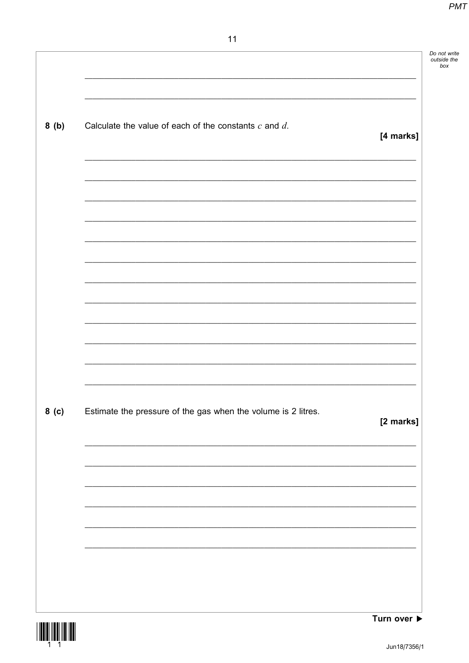| 8(b)  | Calculate the value of each of the constants $c$ and $d$ .    | [4 marks] |
|-------|---------------------------------------------------------------|-----------|
|       |                                                               |           |
|       |                                                               |           |
|       |                                                               |           |
|       |                                                               |           |
|       |                                                               |           |
|       |                                                               |           |
|       |                                                               |           |
|       |                                                               |           |
| 8( c) | Estimate the pressure of the gas when the volume is 2 litres. | [2 marks] |
|       |                                                               |           |
|       |                                                               |           |
|       |                                                               |           |
|       |                                                               |           |
|       |                                                               |           |

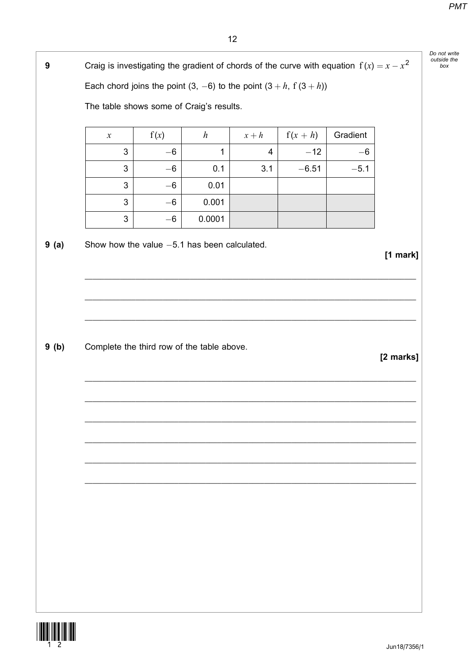Do not write outside the

box

Gradient

Each chord joins the point  $(3, -6)$  to the point  $(3 + h, f(3 + h))$ 

 $\boldsymbol{h}$ 

The table shows some of Craig's results.

 $f(x)$ 

 $\mathcal{X}$ 

Craig is investigating the gradient of chords of the curve with equation  $f(x) = x - x^2$ 

 $x + h$ 

 $f(x+h)$  $\mathfrak{S}$  $-6$  $\mathbf{1}$  $\overline{4}$  $-12$  $-6$  $\overline{3}$  $-6$  $0.1$  $3.1$  $-6.51$  $-5.1$  $\overline{3}$  $0.01$  $-6$  $\sqrt{3}$  $0.001$  $-6$  $\ensuremath{\mathsf{3}}$  $-6\,$ 0.0001  $9(a)$ Show how the value  $-5.1$  has been calculated.  $[1$  mark]  $9(b)$ Complete the third row of the table above. [2 marks]



 $\overline{9}$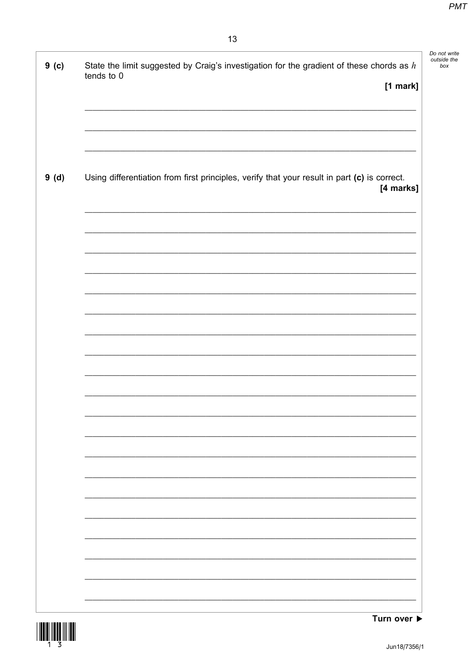| State the limit suggested by Craig's investigation for the gradient of these chords as $h$<br>tends to 0  |
|-----------------------------------------------------------------------------------------------------------|
| [1 mark]                                                                                                  |
|                                                                                                           |
| Using differentiation from first principles, verify that your result in part (c) is correct.<br>[4 marks] |
|                                                                                                           |
|                                                                                                           |
|                                                                                                           |
|                                                                                                           |
|                                                                                                           |
|                                                                                                           |
|                                                                                                           |
|                                                                                                           |
|                                                                                                           |
|                                                                                                           |

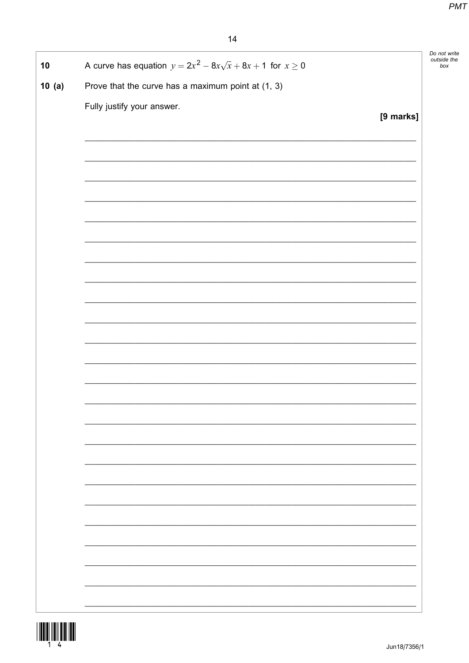| 10    | A curve has equation $y = 2x^2 - 8x\sqrt{x} + 8x + 1$ for $x \ge 0$ |           | Do not write<br>outside the<br>box |
|-------|---------------------------------------------------------------------|-----------|------------------------------------|
| 10(a) | Prove that the curve has a maximum point at (1, 3)                  |           |                                    |
|       |                                                                     |           |                                    |
|       | Fully justify your answer.                                          | [9 marks] |                                    |
|       |                                                                     |           |                                    |
|       |                                                                     |           |                                    |
|       |                                                                     |           |                                    |
|       |                                                                     |           |                                    |
|       |                                                                     |           |                                    |
|       |                                                                     |           |                                    |
|       |                                                                     |           |                                    |
|       |                                                                     |           |                                    |
|       |                                                                     |           |                                    |
|       |                                                                     |           |                                    |
|       |                                                                     |           |                                    |
|       |                                                                     |           |                                    |
|       |                                                                     |           |                                    |
|       |                                                                     |           |                                    |
|       |                                                                     |           |                                    |
|       |                                                                     |           |                                    |
|       |                                                                     |           |                                    |
|       |                                                                     |           |                                    |
|       |                                                                     |           |                                    |
|       |                                                                     |           |                                    |
|       |                                                                     |           |                                    |
|       |                                                                     |           |                                    |
|       |                                                                     |           |                                    |
|       |                                                                     |           |                                    |
|       |                                                                     |           |                                    |
|       |                                                                     |           |                                    |
|       |                                                                     |           |                                    |
|       |                                                                     |           |                                    |
|       |                                                                     |           |                                    |
|       |                                                                     |           |                                    |

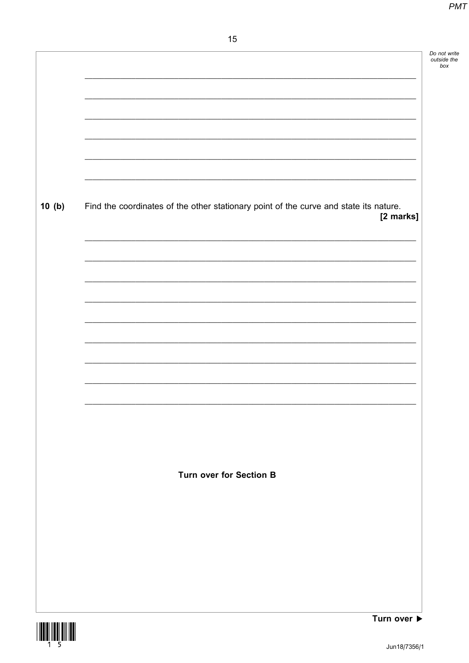|       |                                                                                       | Do not write<br>outside the |
|-------|---------------------------------------------------------------------------------------|-----------------------------|
|       |                                                                                       | box                         |
|       |                                                                                       |                             |
|       |                                                                                       |                             |
|       |                                                                                       |                             |
|       |                                                                                       |                             |
|       |                                                                                       |                             |
|       |                                                                                       |                             |
|       |                                                                                       |                             |
|       |                                                                                       |                             |
| 10(b) | Find the coordinates of the other stationary point of the curve and state its nature. |                             |
|       | [2 marks]                                                                             |                             |
|       |                                                                                       |                             |
|       |                                                                                       |                             |
|       |                                                                                       |                             |
|       |                                                                                       |                             |
|       |                                                                                       |                             |
|       |                                                                                       |                             |
|       |                                                                                       |                             |
|       |                                                                                       |                             |
|       |                                                                                       |                             |
|       |                                                                                       |                             |
|       |                                                                                       |                             |
|       |                                                                                       |                             |
|       |                                                                                       |                             |
|       |                                                                                       |                             |
|       |                                                                                       |                             |
|       |                                                                                       |                             |
|       | <b>Turn over for Section B</b>                                                        |                             |
|       |                                                                                       |                             |
|       |                                                                                       |                             |
|       |                                                                                       |                             |
|       |                                                                                       |                             |
|       |                                                                                       |                             |
|       |                                                                                       |                             |
|       |                                                                                       |                             |
|       |                                                                                       |                             |

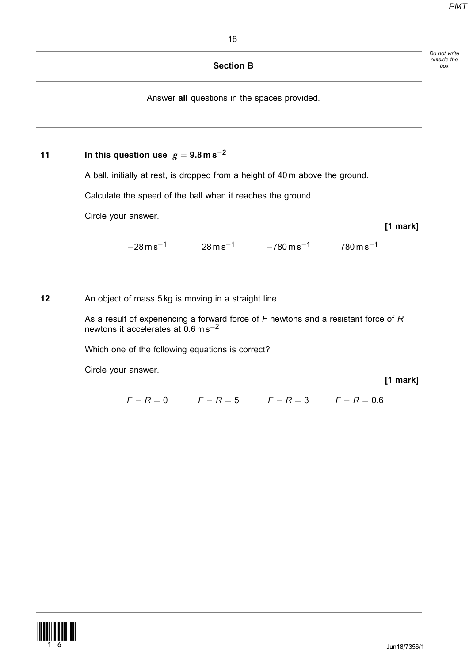|    |                                                                                                                                             | <b>Section B</b> |                                                                   |          |  |
|----|---------------------------------------------------------------------------------------------------------------------------------------------|------------------|-------------------------------------------------------------------|----------|--|
|    |                                                                                                                                             |                  | Answer all questions in the spaces provided.                      |          |  |
| 11 | In this question use $g = 9.8$ m s <sup>-2</sup>                                                                                            |                  |                                                                   |          |  |
|    | A ball, initially at rest, is dropped from a height of 40 m above the ground.                                                               |                  |                                                                   |          |  |
|    | Calculate the speed of the ball when it reaches the ground.                                                                                 |                  |                                                                   |          |  |
|    | Circle your answer.                                                                                                                         |                  |                                                                   | [1 mark] |  |
|    | $-28 \,\mathrm{m}\,\mathrm{s}^{-1}$                                                                                                         |                  | $28\,\rm{m\,s^{-1}}$ $-780\,\rm{m\,s^{-1}}$ $780\,\rm{m\,s^{-1}}$ |          |  |
|    |                                                                                                                                             |                  |                                                                   |          |  |
| 12 | An object of mass 5 kg is moving in a straight line.                                                                                        |                  |                                                                   |          |  |
|    | As a result of experiencing a forward force of $F$ newtons and a resistant force of $R$<br>newtons it accelerates at $0.6 \text{ m s}^{-2}$ |                  |                                                                   |          |  |
|    | Which one of the following equations is correct?                                                                                            |                  |                                                                   |          |  |
|    | Circle your answer.                                                                                                                         |                  |                                                                   | [1 mark] |  |
|    |                                                                                                                                             |                  | $F - R = 0$ $F - R = 5$ $F - R = 3$ $F - R = 0.6$                 |          |  |
|    |                                                                                                                                             |                  |                                                                   |          |  |
|    |                                                                                                                                             |                  |                                                                   |          |  |
|    |                                                                                                                                             |                  |                                                                   |          |  |
|    |                                                                                                                                             |                  |                                                                   |          |  |
|    |                                                                                                                                             |                  |                                                                   |          |  |
|    |                                                                                                                                             |                  |                                                                   |          |  |
|    |                                                                                                                                             |                  |                                                                   |          |  |
|    |                                                                                                                                             |                  |                                                                   |          |  |
|    |                                                                                                                                             |                  |                                                                   |          |  |

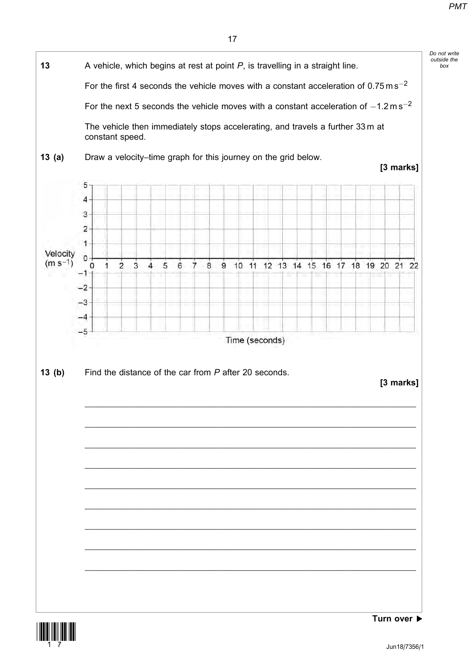box



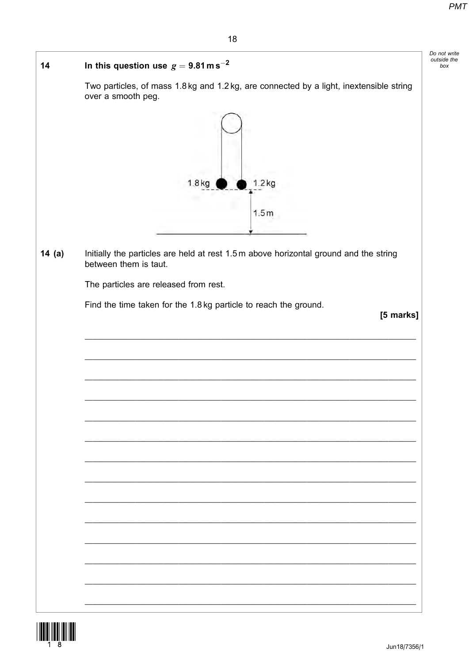Do not write<br>outside the<br>box

|          | 10                                                                                                             |
|----------|----------------------------------------------------------------------------------------------------------------|
| 14       | In this question use $g = 9.81$ m s <sup>-2</sup>                                                              |
|          | Two particles, of mass 1.8 kg and 1.2 kg, are connected by a light, inextensible string<br>over a smooth peg.  |
|          |                                                                                                                |
|          | 1.8 <sub>kg</sub><br>1.2 <sub>kq</sub>                                                                         |
|          |                                                                                                                |
|          | 1.5m                                                                                                           |
|          |                                                                                                                |
| 14 $(a)$ | Initially the particles are held at rest 1.5 m above horizontal ground and the string<br>between them is taut. |
|          | The particles are released from rest.                                                                          |
|          | Find the time taken for the 1.8 kg particle to reach the ground.                                               |
|          | [5 marks]                                                                                                      |
|          |                                                                                                                |
|          |                                                                                                                |
|          |                                                                                                                |
|          |                                                                                                                |
|          |                                                                                                                |
|          |                                                                                                                |
|          |                                                                                                                |
|          |                                                                                                                |
|          |                                                                                                                |
|          |                                                                                                                |
|          |                                                                                                                |
|          |                                                                                                                |
|          |                                                                                                                |
|          |                                                                                                                |
|          |                                                                                                                |
|          |                                                                                                                |

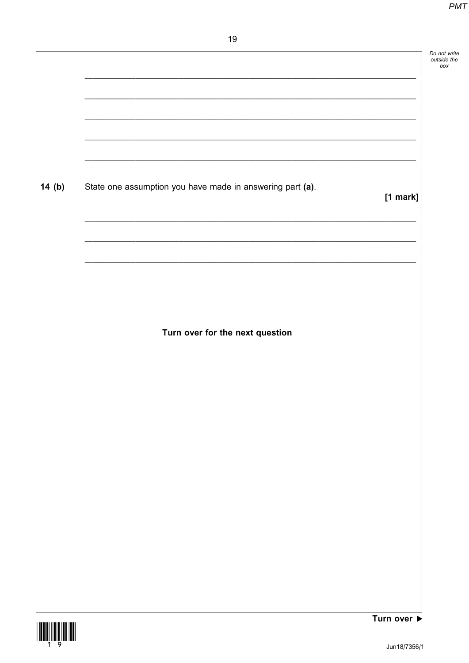|       |                                                           | Do not write<br>outside the<br>box |
|-------|-----------------------------------------------------------|------------------------------------|
|       |                                                           |                                    |
|       |                                                           |                                    |
| 14(b) | State one assumption you have made in answering part (a). | $[1$ mark]                         |
|       |                                                           |                                    |
|       |                                                           |                                    |
|       | Turn over for the next question                           |                                    |
|       |                                                           |                                    |
|       |                                                           |                                    |
|       |                                                           |                                    |
|       |                                                           |                                    |
|       |                                                           |                                    |
|       |                                                           |                                    |
|       |                                                           | Turn over $\blacktriangleright$    |

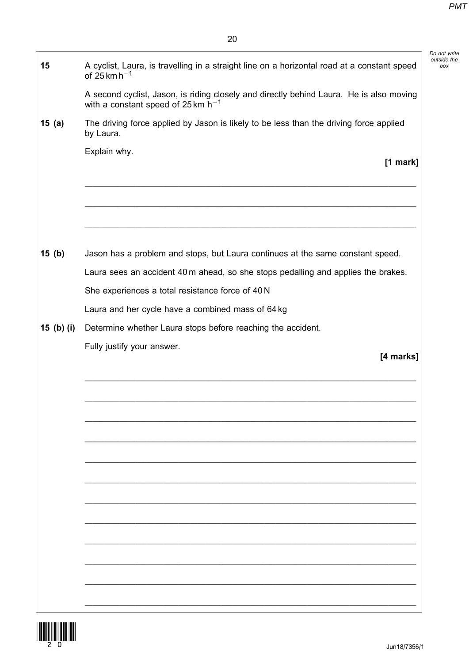Do not write outside the box

| 15         | A cyclist, Laura, is travelling in a straight line on a horizontal road at a constant speed<br>of 25 km h <sup><math>-1</math></sup> |
|------------|--------------------------------------------------------------------------------------------------------------------------------------|
|            | A second cyclist, Jason, is riding closely and directly behind Laura. He is also moving<br>with a constant speed of 25 km $h^{-1}$   |
| 15(a)      | The driving force applied by Jason is likely to be less than the driving force applied<br>by Laura.                                  |
|            | Explain why.<br>[1 mark]                                                                                                             |
|            |                                                                                                                                      |
| 15(b)      | Jason has a problem and stops, but Laura continues at the same constant speed.                                                       |
|            | Laura sees an accident 40 m ahead, so she stops pedalling and applies the brakes.                                                    |
|            | She experiences a total resistance force of 40 N                                                                                     |
|            | Laura and her cycle have a combined mass of 64 kg                                                                                    |
| 15 (b) (i) | Determine whether Laura stops before reaching the accident.                                                                          |
|            | Fully justify your answer.<br>[4 marks]                                                                                              |
|            |                                                                                                                                      |
|            |                                                                                                                                      |
|            |                                                                                                                                      |
|            |                                                                                                                                      |
|            |                                                                                                                                      |
|            |                                                                                                                                      |
|            |                                                                                                                                      |
|            |                                                                                                                                      |
|            |                                                                                                                                      |
|            |                                                                                                                                      |
|            |                                                                                                                                      |
|            |                                                                                                                                      |
|            |                                                                                                                                      |
|            |                                                                                                                                      |
|            |                                                                                                                                      |

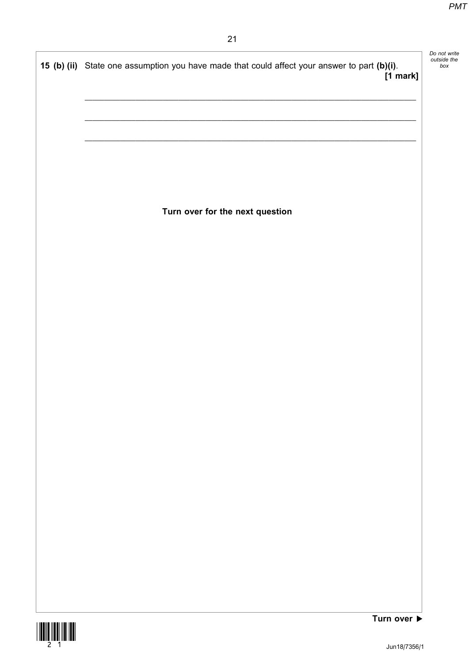| Do not write |
|--------------|
| outside the  |
| box          |
|              |

15 (b) (ii) State one assumption you have made that could affect your answer to part (b)(i). [1 mark]  $\_$  , and the set of the set of the set of the set of the set of the set of the set of the set of the set of the set of the set of the set of the set of the set of the set of the set of the set of the set of the set of th  $\_$  , and the set of the set of the set of the set of the set of the set of the set of the set of the set of the set of the set of the set of the set of the set of the set of the set of the set of the set of the set of th  $\_$  , and the set of the set of the set of the set of the set of the set of the set of the set of the set of the set of the set of the set of the set of the set of the set of the set of the set of the set of the set of th Turn over for the next question

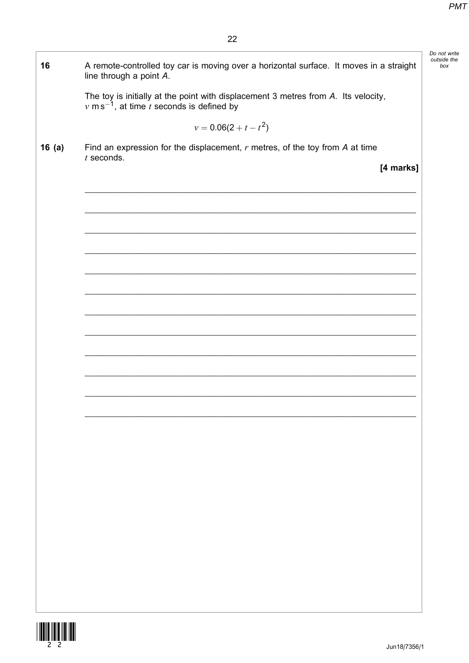| A remote-controlled toy car is moving over a horizontal surface. It moves in a straight<br>line through a point A.                          |
|---------------------------------------------------------------------------------------------------------------------------------------------|
| The toy is initially at the point with displacement 3 metres from A. Its velocity,<br>$v \text{ ms}^{-1}$ , at time t seconds is defined by |
| $v = 0.06(2 + t - t^2)$                                                                                                                     |
| Find an expression for the displacement, $r$ metres, of the toy from $A$ at time<br>$t$ seconds.                                            |
| [4 marks]                                                                                                                                   |
|                                                                                                                                             |
|                                                                                                                                             |
|                                                                                                                                             |
|                                                                                                                                             |
|                                                                                                                                             |
|                                                                                                                                             |
|                                                                                                                                             |
|                                                                                                                                             |
|                                                                                                                                             |
|                                                                                                                                             |
|                                                                                                                                             |
|                                                                                                                                             |
|                                                                                                                                             |
|                                                                                                                                             |
|                                                                                                                                             |
|                                                                                                                                             |
|                                                                                                                                             |
|                                                                                                                                             |
|                                                                                                                                             |
|                                                                                                                                             |
|                                                                                                                                             |
|                                                                                                                                             |

j.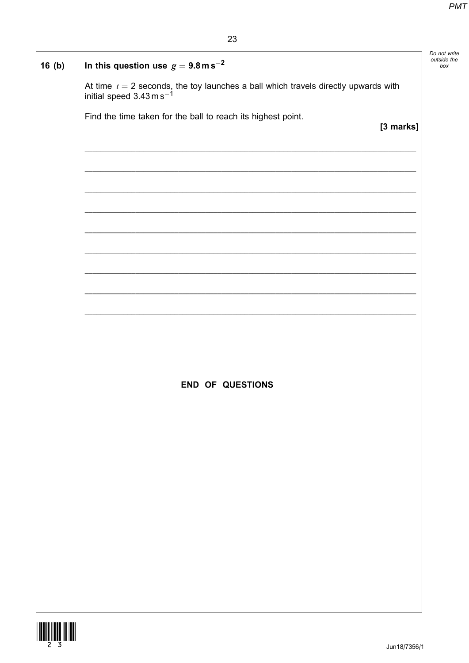| 16(b) | In this question use $g = 9.8$ m s <sup>-2</sup>                                                                          | Do not write<br>outside the<br>box |
|-------|---------------------------------------------------------------------------------------------------------------------------|------------------------------------|
|       | At time $t = 2$ seconds, the toy launches a ball which travels directly upwards with initial speed 3.43 m s <sup>-1</sup> |                                    |
|       | Find the time taken for the ball to reach its highest point.<br>[3 marks]                                                 |                                    |
|       |                                                                                                                           |                                    |
|       |                                                                                                                           |                                    |
|       |                                                                                                                           |                                    |
|       |                                                                                                                           |                                    |
|       |                                                                                                                           |                                    |
|       |                                                                                                                           |                                    |
|       |                                                                                                                           |                                    |
|       |                                                                                                                           |                                    |
|       |                                                                                                                           |                                    |
|       | <b>END OF QUESTIONS</b>                                                                                                   |                                    |
|       |                                                                                                                           |                                    |
|       |                                                                                                                           |                                    |
|       |                                                                                                                           |                                    |
|       |                                                                                                                           |                                    |
|       |                                                                                                                           |                                    |
|       |                                                                                                                           |                                    |
|       |                                                                                                                           |                                    |
|       |                                                                                                                           |                                    |
|       |                                                                                                                           |                                    |

 $\mathsf{I}$